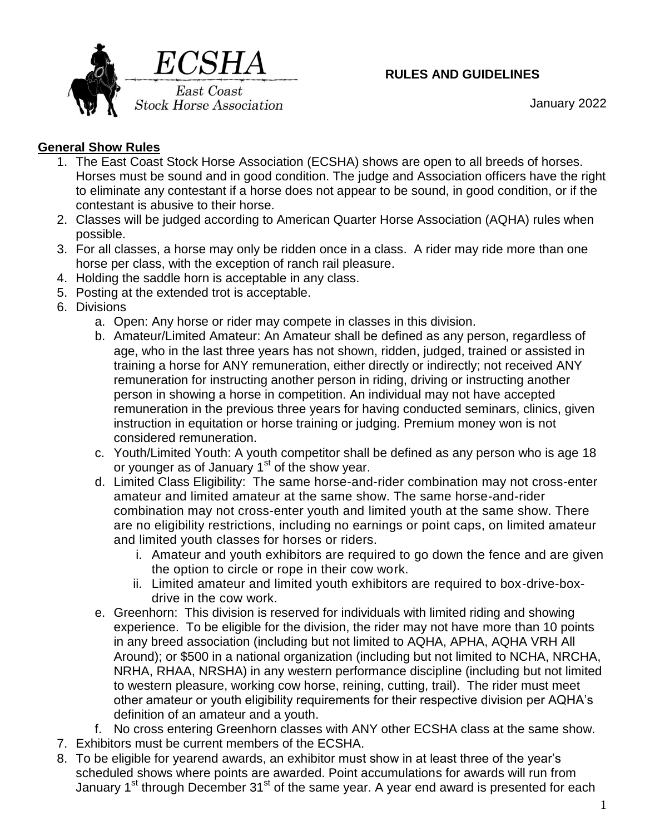

### **RULES AND GUIDELINES**

January 2022

# **General Show Rules**

- 1. The East Coast Stock Horse Association (ECSHA) shows are open to all breeds of horses. Horses must be sound and in good condition. The judge and Association officers have the right to eliminate any contestant if a horse does not appear to be sound, in good condition, or if the contestant is abusive to their horse.
- 2. Classes will be judged according to American Quarter Horse Association (AQHA) rules when possible.
- 3. For all classes, a horse may only be ridden once in a class. A rider may ride more than one horse per class, with the exception of ranch rail pleasure.
- 4. Holding the saddle horn is acceptable in any class.
- 5. Posting at the extended trot is acceptable.
- 6. Divisions
	- a. Open: Any horse or rider may compete in classes in this division.
	- b. Amateur/Limited Amateur: An Amateur shall be defined as any person, regardless of age, who in the last three years has not shown, ridden, judged, trained or assisted in training a horse for ANY remuneration, either directly or indirectly; not received ANY remuneration for instructing another person in riding, driving or instructing another person in showing a horse in competition. An individual may not have accepted remuneration in the previous three years for having conducted seminars, clinics, given instruction in equitation or horse training or judging. Premium money won is not considered remuneration.
	- c. Youth/Limited Youth: A youth competitor shall be defined as any person who is age 18 or younger as of January 1<sup>st</sup> of the show year.
	- d. Limited Class Eligibility: The same horse-and-rider combination may not cross-enter amateur and limited amateur at the same show. The same horse-and-rider combination may not cross-enter youth and limited youth at the same show. There are no eligibility restrictions, including no earnings or point caps, on limited amateur and limited youth classes for horses or riders.
		- i. Amateur and youth exhibitors are required to go down the fence and are given the option to circle or rope in their cow work.
		- ii. Limited amateur and limited youth exhibitors are required to box-drive-boxdrive in the cow work.
	- e. Greenhorn: This division is reserved for individuals with limited riding and showing experience. To be eligible for the division, the rider may not have more than 10 points in any breed association (including but not limited to AQHA, APHA, AQHA VRH All Around); or \$500 in a national organization (including but not limited to NCHA, NRCHA, NRHA, RHAA, NRSHA) in any western performance discipline (including but not limited to western pleasure, working cow horse, reining, cutting, trail). The rider must meet other amateur or youth eligibility requirements for their respective division per AQHA's definition of an amateur and a youth.
- f. No cross entering Greenhorn classes with ANY other ECSHA class at the same show. 7. Exhibitors must be current members of the ECSHA.
- 8. To be eligible for yearend awards, an exhibitor must show in at least three of the year's scheduled shows where points are awarded. Point accumulations for awards will run from January 1<sup>st</sup> through December 31<sup>st</sup> of the same year. A year end award is presented for each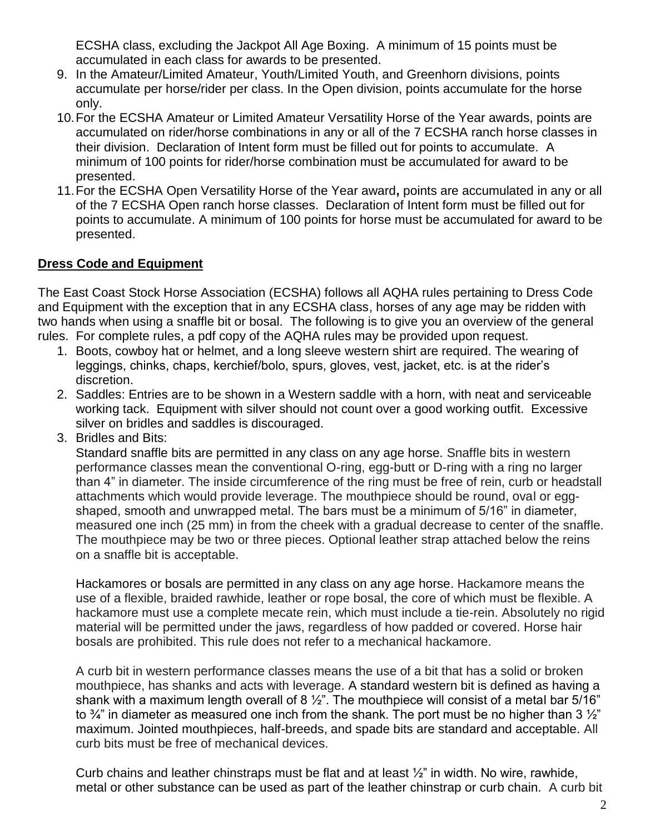ECSHA class, excluding the Jackpot All Age Boxing. A minimum of 15 points must be accumulated in each class for awards to be presented.

- 9. In the Amateur/Limited Amateur, Youth/Limited Youth, and Greenhorn divisions, points accumulate per horse/rider per class. In the Open division, points accumulate for the horse only.
- 10.For the ECSHA Amateur or Limited Amateur Versatility Horse of the Year awards, points are accumulated on rider/horse combinations in any or all of the 7 ECSHA ranch horse classes in their division. Declaration of Intent form must be filled out for points to accumulate. A minimum of 100 points for rider/horse combination must be accumulated for award to be presented.
- 11.For the ECSHA Open Versatility Horse of the Year award**,** points are accumulated in any or all of the 7 ECSHA Open ranch horse classes. Declaration of Intent form must be filled out for points to accumulate. A minimum of 100 points for horse must be accumulated for award to be presented.

### **Dress Code and Equipment**

The East Coast Stock Horse Association (ECSHA) follows all AQHA rules pertaining to Dress Code and Equipment with the exception that in any ECSHA class, horses of any age may be ridden with two hands when using a snaffle bit or bosal. The following is to give you an overview of the general rules. For complete rules, a pdf copy of the AQHA rules may be provided upon request.

- 1. Boots, cowboy hat or helmet, and a long sleeve western shirt are required. The wearing of leggings, chinks, chaps, kerchief/bolo, spurs, gloves, vest, jacket, etc. is at the rider's discretion.
- 2. Saddles: Entries are to be shown in a Western saddle with a horn, with neat and serviceable working tack. Equipment with silver should not count over a good working outfit. Excessive silver on bridles and saddles is discouraged.
- 3. Bridles and Bits:

Standard snaffle bits are permitted in any class on any age horse. Snaffle bits in western performance classes mean the conventional O-ring, egg-butt or D-ring with a ring no larger than 4" in diameter. The inside circumference of the ring must be free of rein, curb or headstall attachments which would provide leverage. The mouthpiece should be round, oval or eggshaped, smooth and unwrapped metal. The bars must be a minimum of 5/16" in diameter, measured one inch (25 mm) in from the cheek with a gradual decrease to center of the snaffle. The mouthpiece may be two or three pieces. Optional leather strap attached below the reins on a snaffle bit is acceptable.

Hackamores or bosals are permitted in any class on any age horse. Hackamore means the use of a flexible, braided rawhide, leather or rope bosal, the core of which must be flexible. A hackamore must use a complete mecate rein, which must include a tie-rein. Absolutely no rigid material will be permitted under the jaws, regardless of how padded or covered. Horse hair bosals are prohibited. This rule does not refer to a mechanical hackamore.

A curb bit in western performance classes means the use of a bit that has a solid or broken mouthpiece, has shanks and acts with leverage. A standard western bit is defined as having a shank with a maximum length overall of 8  $\frac{1}{2}$ ". The mouthpiece will consist of a metal bar 5/16" to  $\frac{3}{4}$ " in diameter as measured one inch from the shank. The port must be no higher than 3  $\frac{1}{2}$ " maximum. Jointed mouthpieces, half-breeds, and spade bits are standard and acceptable. All curb bits must be free of mechanical devices.

Curb chains and leather chinstraps must be flat and at least  $\frac{1}{2}$ " in width. No wire, rawhide, metal or other substance can be used as part of the leather chinstrap or curb chain. A curb bit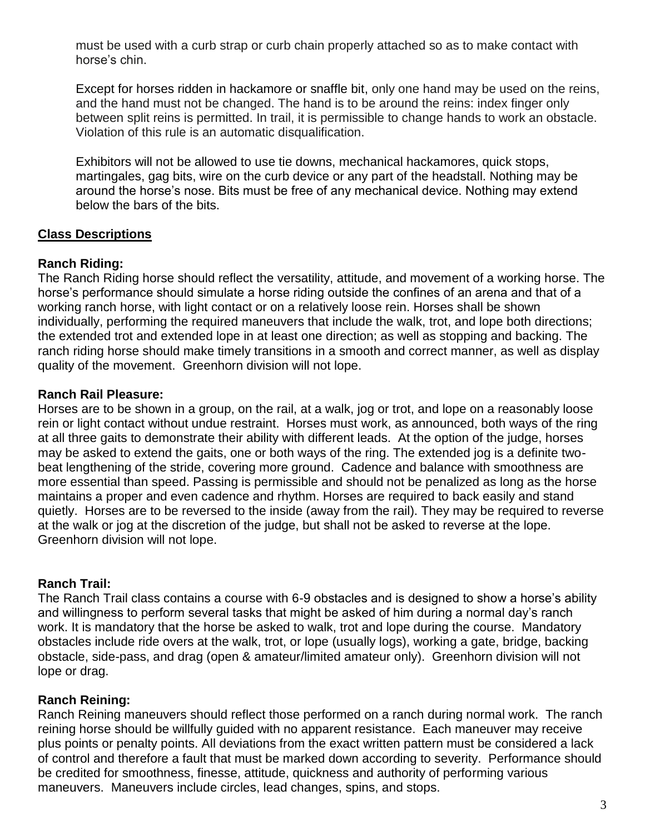must be used with a curb strap or curb chain properly attached so as to make contact with horse's chin.

Except for horses ridden in hackamore or snaffle bit, only one hand may be used on the reins, and the hand must not be changed. The hand is to be around the reins: index finger only between split reins is permitted. In trail, it is permissible to change hands to work an obstacle. Violation of this rule is an automatic disqualification.

Exhibitors will not be allowed to use tie downs, mechanical hackamores, quick stops, martingales, gag bits, wire on the curb device or any part of the headstall. Nothing may be around the horse's nose. Bits must be free of any mechanical device. Nothing may extend below the bars of the bits.

### **Class Descriptions**

#### **Ranch Riding:**

The Ranch Riding horse should reflect the versatility, attitude, and movement of a working horse. The horse's performance should simulate a horse riding outside the confines of an arena and that of a working ranch horse, with light contact or on a relatively loose rein. Horses shall be shown individually, performing the required maneuvers that include the walk, trot, and lope both directions; the extended trot and extended lope in at least one direction; as well as stopping and backing. The ranch riding horse should make timely transitions in a smooth and correct manner, as well as display quality of the movement. Greenhorn division will not lope.

### **Ranch Rail Pleasure:**

Horses are to be shown in a group, on the rail, at a walk, jog or trot, and lope on a reasonably loose rein or light contact without undue restraint. Horses must work, as announced, both ways of the ring at all three gaits to demonstrate their ability with different leads. At the option of the judge, horses may be asked to extend the gaits, one or both ways of the ring. The extended jog is a definite twobeat lengthening of the stride, covering more ground. Cadence and balance with smoothness are more essential than speed. Passing is permissible and should not be penalized as long as the horse maintains a proper and even cadence and rhythm. Horses are required to back easily and stand quietly. Horses are to be reversed to the inside (away from the rail). They may be required to reverse at the walk or jog at the discretion of the judge, but shall not be asked to reverse at the lope. Greenhorn division will not lope.

#### **Ranch Trail:**

The Ranch Trail class contains a course with 6-9 obstacles and is designed to show a horse's ability and willingness to perform several tasks that might be asked of him during a normal day's ranch work. It is mandatory that the horse be asked to walk, trot and lope during the course. Mandatory obstacles include ride overs at the walk, trot, or lope (usually logs), working a gate, bridge, backing obstacle, side-pass, and drag (open & amateur/limited amateur only). Greenhorn division will not lope or drag.

#### **Ranch Reining:**

Ranch Reining maneuvers should reflect those performed on a ranch during normal work. The ranch reining horse should be willfully guided with no apparent resistance. Each maneuver may receive plus points or penalty points. All deviations from the exact written pattern must be considered a lack of control and therefore a fault that must be marked down according to severity. Performance should be credited for smoothness, finesse, attitude, quickness and authority of performing various maneuvers. Maneuvers include circles, lead changes, spins, and stops.